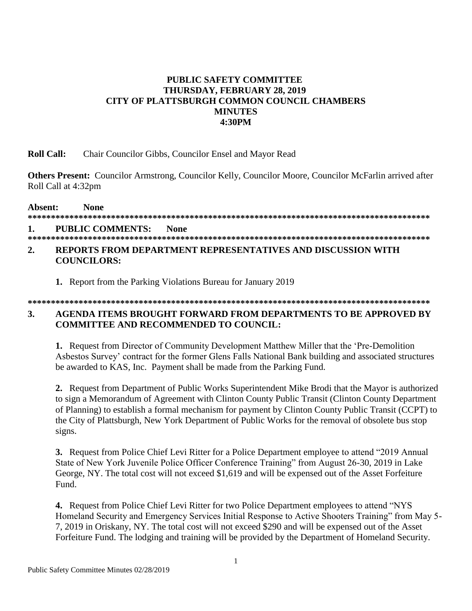#### **PUBLIC SAFETY COMMITTEE THURSDAY, FEBRUARY 28, 2019** CITY OF PLATTSBURGH COMMON COUNCIL CHAMBERS **MINUTES 4:30PM**

#### **Roll Call:** Chair Councilor Gibbs, Councilor Ensel and Mayor Read

Others Present: Councilor Armstrong, Councilor Kelly, Councilor Moore, Councilor McFarlin arrived after Roll Call at 4:32pm

Absent: **None PUBLIC COMMENTS:** 1. **None** 

#### 

#### $2.$ REPORTS FROM DEPARTMENT REPRESENTATIVES AND DISCUSSION WITH **COUNCILORS:**

1. Report from the Parking Violations Bureau for January 2019

**COMMITTEE AND RECOMMENDED TO COUNCIL:** 

#### **3.** AGENDA ITEMS BROUGHT FORWARD FROM DEPARTMENTS TO BE APPROVED BY

1. Request from Director of Community Development Matthew Miller that the 'Pre-Demolition' Asbestos Survey' contract for the former Glens Falls National Bank building and associated structures be awarded to KAS, Inc. Payment shall be made from the Parking Fund.

2. Request from Department of Public Works Superintendent Mike Brodi that the Mayor is authorized to sign a Memorandum of Agreement with Clinton County Public Transit (Clinton County Department of Planning) to establish a formal mechanism for payment by Clinton County Public Transit (CCPT) to the City of Plattsburgh, New York Department of Public Works for the removal of obsolete bus stop signs.

**3.** Request from Police Chief Levi Ritter for a Police Department employee to attend "2019 Annual" State of New York Juvenile Police Officer Conference Training" from August 26-30, 2019 in Lake George, NY. The total cost will not exceed \$1,619 and will be expensed out of the Asset Forfeiture Fund.

**4.** Request from Police Chief Levi Ritter for two Police Department employees to attend "NYS" Homeland Security and Emergency Services Initial Response to Active Shooters Training" from May 5-7, 2019 in Oriskany, NY. The total cost will not exceed \$290 and will be expensed out of the Asset Forfeiture Fund. The lodging and training will be provided by the Department of Homeland Security.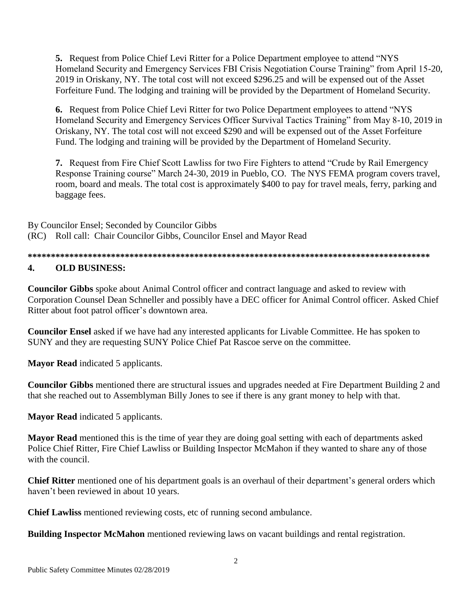**5.** Request from Police Chief Levi Ritter for a Police Department employee to attend "NYS Homeland Security and Emergency Services FBI Crisis Negotiation Course Training" from April 15-20, 2019 in Oriskany, NY. The total cost will not exceed \$296.25 and will be expensed out of the Asset Forfeiture Fund. The lodging and training will be provided by the Department of Homeland Security.

**6.** Request from Police Chief Levi Ritter for two Police Department employees to attend "NYS Homeland Security and Emergency Services Officer Survival Tactics Training" from May 8-10, 2019 in Oriskany, NY. The total cost will not exceed \$290 and will be expensed out of the Asset Forfeiture Fund. The lodging and training will be provided by the Department of Homeland Security.

**7.** Request from Fire Chief Scott Lawliss for two Fire Fighters to attend "Crude by Rail Emergency Response Training course" March 24-30, 2019 in Pueblo, CO. The NYS FEMA program covers travel, room, board and meals. The total cost is approximately \$400 to pay for travel meals, ferry, parking and baggage fees.

By Councilor Ensel; Seconded by Councilor Gibbs (RC) Roll call: Chair Councilor Gibbs, Councilor Ensel and Mayor Read

**\*\*\*\*\*\*\*\*\*\*\*\*\*\*\*\*\*\*\*\*\*\*\*\*\*\*\*\*\*\*\*\*\*\*\*\*\*\*\*\*\*\*\*\*\*\*\*\*\*\*\*\*\*\*\*\*\*\*\*\*\*\*\*\*\*\*\*\*\*\*\*\*\*\*\*\*\*\*\*\*\*\*\*\*\*\*\* 4. OLD BUSINESS:**

**Councilor Gibbs** spoke about Animal Control officer and contract language and asked to review with Corporation Counsel Dean Schneller and possibly have a DEC officer for Animal Control officer. Asked Chief Ritter about foot patrol officer's downtown area.

**Councilor Ensel** asked if we have had any interested applicants for Livable Committee. He has spoken to SUNY and they are requesting SUNY Police Chief Pat Rascoe serve on the committee.

**Mayor Read** indicated 5 applicants.

**Councilor Gibbs** mentioned there are structural issues and upgrades needed at Fire Department Building 2 and that she reached out to Assemblyman Billy Jones to see if there is any grant money to help with that.

**Mayor Read** indicated 5 applicants.

**Mayor Read** mentioned this is the time of year they are doing goal setting with each of departments asked Police Chief Ritter, Fire Chief Lawliss or Building Inspector McMahon if they wanted to share any of those with the council.

**Chief Ritter** mentioned one of his department goals is an overhaul of their department's general orders which haven't been reviewed in about 10 years.

**Chief Lawliss** mentioned reviewing costs, etc of running second ambulance.

**Building Inspector McMahon** mentioned reviewing laws on vacant buildings and rental registration.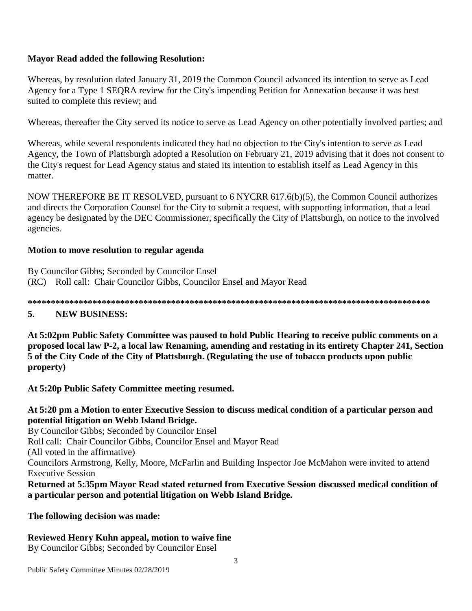## **Mayor Read added the following Resolution:**

Whereas, by resolution dated January 31, 2019 the Common Council advanced its intention to serve as Lead Agency for a Type 1 SEQRA review for the City's impending Petition for Annexation because it was best suited to complete this review; and

Whereas, thereafter the City served its notice to serve as Lead Agency on other potentially involved parties; and

Whereas, while several respondents indicated they had no objection to the City's intention to serve as Lead Agency, the Town of Plattsburgh adopted a Resolution on February 21, 2019 advising that it does not consent to the City's request for Lead Agency status and stated its intention to establish itself as Lead Agency in this matter.

NOW THEREFORE BE IT RESOLVED, pursuant to 6 NYCRR 617.6(b)(5), the Common Council authorizes and directs the Corporation Counsel for the City to submit a request, with supporting information, that a lead agency be designated by the DEC Commissioner, specifically the City of Plattsburgh, on notice to the involved agencies.

#### **Motion to move resolution to regular agenda**

By Councilor Gibbs; Seconded by Councilor Ensel (RC) Roll call: Chair Councilor Gibbs, Councilor Ensel and Mayor Read

**\*\*\*\*\*\*\*\*\*\*\*\*\*\*\*\*\*\*\*\*\*\*\*\*\*\*\*\*\*\*\*\*\*\*\*\*\*\*\*\*\*\*\*\*\*\*\*\*\*\*\*\*\*\*\*\*\*\*\*\*\*\*\*\*\*\*\*\*\*\*\*\*\*\*\*\*\*\*\*\*\*\*\*\*\*\*\***

### **5. NEW BUSINESS:**

**At 5:02pm Public Safety Committee was paused to hold Public Hearing to receive public comments on a proposed local law P-2, a local law Renaming, amending and restating in its entirety Chapter 241, Section 5 of the City Code of the City of Plattsburgh. (Regulating the use of tobacco products upon public property)**

**At 5:20p Public Safety Committee meeting resumed.**

#### **At 5:20 pm a Motion to enter Executive Session to discuss medical condition of a particular person and potential litigation on Webb Island Bridge.**

By Councilor Gibbs; Seconded by Councilor Ensel Roll call: Chair Councilor Gibbs, Councilor Ensel and Mayor Read (All voted in the affirmative) Councilors Armstrong, Kelly, Moore, McFarlin and Building Inspector Joe McMahon were invited to attend Executive Session **Returned at 5:35pm Mayor Read stated returned from Executive Session discussed medical condition of** 

**a particular person and potential litigation on Webb Island Bridge.**

#### **The following decision was made:**

# **Reviewed Henry Kuhn appeal, motion to waive fine**

By Councilor Gibbs; Seconded by Councilor Ensel